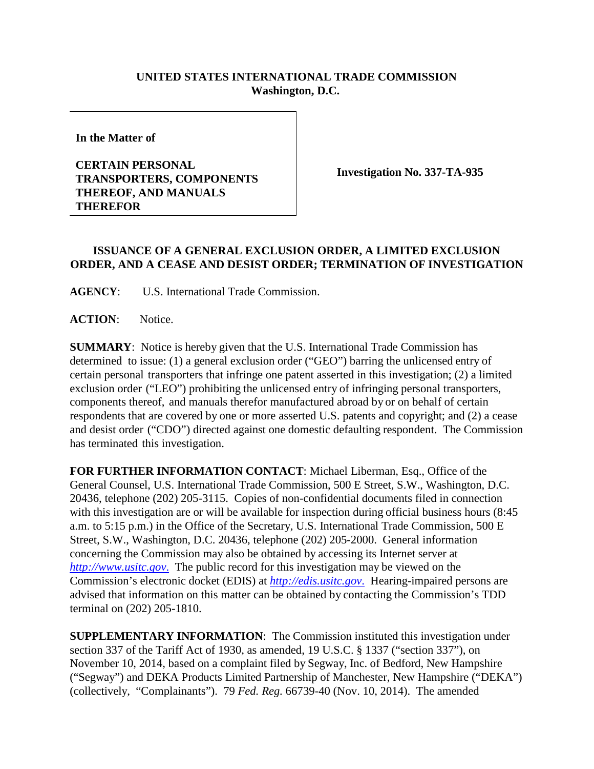## **UNITED STATES INTERNATIONAL TRADE COMMISSION Washington, D.C.**

**In the Matter of** 

## **CERTAIN PERSONAL TRANSPORTERS, COMPONENTS THEREOF, AND MANUALS THEREFOR**

**Investigation No. 337-TA-935**

## **ISSUANCE OF A GENERAL EXCLUSION ORDER, A LIMITED EXCLUSION ORDER, AND A CEASE AND DESIST ORDER; TERMINATION OF INVESTIGATION**

**AGENCY**: U.S. International Trade Commission.

**ACTION**: Notice.

**SUMMARY**: Notice is hereby given that the U.S. International Trade Commission has determined to issue: (1) a general exclusion order ("GEO") barring the unlicensed entry of certain personal transporters that infringe one patent asserted in this investigation; (2) a limited exclusion order ("LEO") prohibiting the unlicensed entry of infringing personal transporters, components thereof, and manuals therefor manufactured abroad by or on behalf of certain respondents that are covered by one or more asserted U.S. patents and copyright; and (2) a cease and desist order ("CDO") directed against one domestic defaulting respondent. The Commission has terminated this investigation.

**FOR FURTHER INFORMATION CONTACT**: Michael Liberman, Esq., Office of the General Counsel, U.S. International Trade Commission, 500 E Street, S.W., Washington, D.C. 20436, telephone (202) 205-3115. Copies of non-confidential documents filed in connection with this investigation are or will be available for inspection during official business hours (8:45 a.m. to 5:15 p.m.) in the Office of the Secretary, U.S. International Trade Commission, 500 E Street, S.W., Washington, D.C. 20436, telephone (202) 205-2000. General information concerning the Commission may also be obtained by accessing its Internet server at *[http://www.usitc.gov](http://www.usitc.gov./)*. The public record for this investigation may be viewed on the Commission's electronic docket (EDIS) at *[http://edis.usitc.gov](http://edis.usitc.gov./)*. Hearing-impaired persons are advised that information on this matter can be obtained by contacting the Commission's TDD terminal on (202) 205-1810.

**SUPPLEMENTARY INFORMATION**: The Commission instituted this investigation under section 337 of the Tariff Act of 1930, as amended, 19 U.S.C. § 1337 ("section 337"), on November 10, 2014, based on a complaint filed by Segway, Inc. of Bedford, New Hampshire ("Segway") and DEKA Products Limited Partnership of Manchester, New Hampshire ("DEKA") (collectively, "Complainants"). 79 *Fed. Reg.* 66739-40 (Nov. 10, 2014). The amended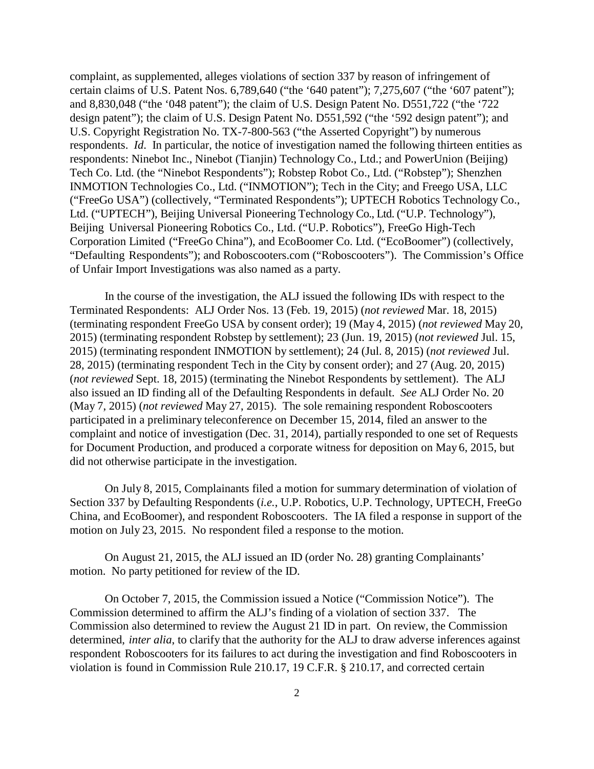complaint, as supplemented, alleges violations of section 337 by reason of infringement of certain claims of U.S. Patent Nos. 6,789,640 ("the '640 patent"); 7,275,607 ("the '607 patent"); and 8,830,048 ("the '048 patent"); the claim of U.S. Design Patent No. D551,722 ("the '722 design patent"); the claim of U.S. Design Patent No. D551,592 ("the '592 design patent"); and U.S. Copyright Registration No. TX-7-800-563 ("the Asserted Copyright") by numerous respondents. *Id*. In particular, the notice of investigation named the following thirteen entities as respondents: Ninebot Inc., Ninebot (Tianjin) Technology Co., Ltd.; and PowerUnion (Beijing) Tech Co. Ltd. (the "Ninebot Respondents"); Robstep Robot Co., Ltd. ("Robstep"); Shenzhen INMOTION Technologies Co., Ltd. ("INMOTION"); Tech in the City; and Freego USA, LLC ("FreeGo USA") (collectively, "Terminated Respondents"); UPTECH Robotics Technology Co., Ltd. ("UPTECH"), Beijing Universal Pioneering Technology Co., Ltd. ("U.P. Technology"), Beijing Universal Pioneering Robotics Co., Ltd. ("U.P. Robotics"), FreeGo High-Tech Corporation Limited ("FreeGo China"), and EcoBoomer Co. Ltd. ("EcoBoomer") (collectively, "Defaulting Respondents"); and Roboscooters.com ("Roboscooters"). The Commission's Office of Unfair Import Investigations was also named as a party.

In the course of the investigation, the ALJ issued the following IDs with respect to the Terminated Respondents: ALJ Order Nos. 13 (Feb. 19, 2015) (*not reviewed* Mar. 18, 2015) (terminating respondent FreeGo USA by consent order); 19 (May 4, 2015) (*not reviewed* May 20, 2015) (terminating respondent Robstep by settlement); 23 (Jun. 19, 2015) (*not reviewed* Jul. 15, 2015) (terminating respondent INMOTION by settlement); 24 (Jul. 8, 2015) (*not reviewed* Jul. 28, 2015) (terminating respondent Tech in the City by consent order); and 27 (Aug. 20, 2015) (*not reviewed* Sept. 18, 2015) (terminating the Ninebot Respondents by settlement). The ALJ also issued an ID finding all of the Defaulting Respondents in default. *See* ALJ Order No. 20 (May 7, 2015) (*not reviewed* May 27, 2015). The sole remaining respondent Roboscooters participated in a preliminary teleconference on December 15, 2014, filed an answer to the complaint and notice of investigation (Dec. 31, 2014), partially responded to one set of Requests for Document Production, and produced a corporate witness for deposition on May 6, 2015, but did not otherwise participate in the investigation.

On July 8, 2015, Complainants filed a motion for summary determination of violation of Section 337 by Defaulting Respondents (*i.e.*, U.P. Robotics, U.P. Technology, UPTECH, FreeGo China, and EcoBoomer), and respondent Roboscooters. The IA filed a response in support of the motion on July 23, 2015. No respondent filed a response to the motion.

On August 21, 2015, the ALJ issued an ID (order No. 28) granting Complainants' motion. No party petitioned for review of the ID.

On October 7, 2015, the Commission issued a Notice ("Commission Notice"). The Commission determined to affirm the ALJ's finding of a violation of section 337. The Commission also determined to review the August 21 ID in part. On review, the Commission determined, *inter alia*, to clarify that the authority for the ALJ to draw adverse inferences against respondent Roboscooters for its failures to act during the investigation and find Roboscooters in violation is found in Commission Rule 210.17, 19 C.F.R. § 210.17, and corrected certain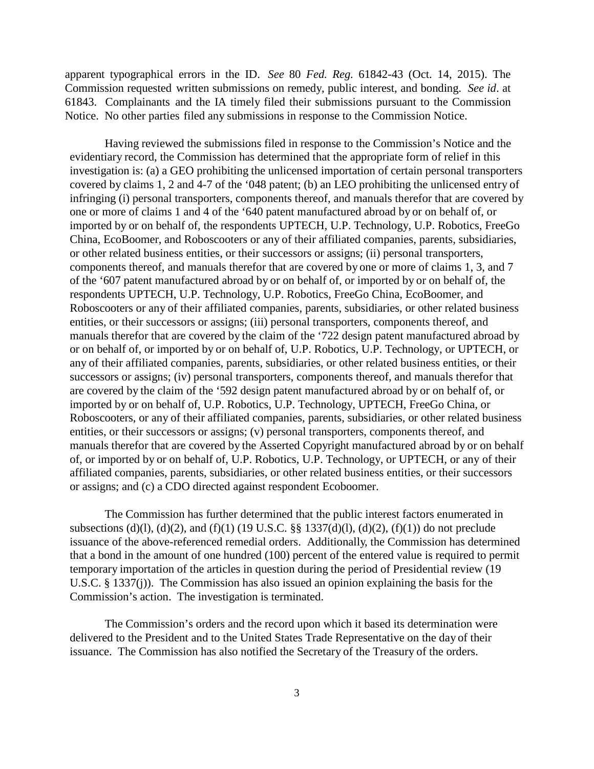apparent typographical errors in the ID. *See* 80 *Fed. Reg.* 61842-43 (Oct. 14, 2015). The Commission requested written submissions on remedy, public interest, and bonding. *See id*. at 61843. Complainants and the IA timely filed their submissions pursuant to the Commission Notice. No other parties filed any submissions in response to the Commission Notice.

Having reviewed the submissions filed in response to the Commission's Notice and the evidentiary record, the Commission has determined that the appropriate form of relief in this investigation is: (a) a GEO prohibiting the unlicensed importation of certain personal transporters covered by claims 1, 2 and 4-7 of the '048 patent; (b) an LEO prohibiting the unlicensed entry of infringing (i) personal transporters, components thereof, and manuals therefor that are covered by one or more of claims 1 and 4 of the '640 patent manufactured abroad by or on behalf of, or imported by or on behalf of, the respondents UPTECH, U.P. Technology, U.P. Robotics, FreeGo China, EcoBoomer, and Roboscooters or any of their affiliated companies, parents, subsidiaries, or other related business entities, or their successors or assigns; (ii) personal transporters, components thereof, and manuals therefor that are covered by one or more of claims 1, 3, and 7 of the '607 patent manufactured abroad by or on behalf of, or imported by or on behalf of, the respondents UPTECH, U.P. Technology, U.P. Robotics, FreeGo China, EcoBoomer, and Roboscooters or any of their affiliated companies, parents, subsidiaries, or other related business entities, or their successors or assigns; (iii) personal transporters, components thereof, and manuals therefor that are covered by the claim of the '722 design patent manufactured abroad by or on behalf of, or imported by or on behalf of, U.P. Robotics, U.P. Technology, or UPTECH, or any of their affiliated companies, parents, subsidiaries, or other related business entities, or their successors or assigns; (iv) personal transporters, components thereof, and manuals therefor that are covered by the claim of the '592 design patent manufactured abroad by or on behalf of, or imported by or on behalf of, U.P. Robotics, U.P. Technology, UPTECH, FreeGo China, or Roboscooters, or any of their affiliated companies, parents, subsidiaries, or other related business entities, or their successors or assigns; (v) personal transporters, components thereof, and manuals therefor that are covered by the Asserted Copyright manufactured abroad by or on behalf of, or imported by or on behalf of, U.P. Robotics, U.P. Technology, or UPTECH, or any of their affiliated companies, parents, subsidiaries, or other related business entities, or their successors or assigns; and (c) a CDO directed against respondent Ecoboomer.

The Commission has further determined that the public interest factors enumerated in subsections (d)(l), (d)(2), and (f)(1) (19 U.S.C. §§ 1337(d)(l), (d)(2), (f)(1)) do not preclude issuance of the above-referenced remedial orders. Additionally, the Commission has determined that a bond in the amount of one hundred (100) percent of the entered value is required to permit temporary importation of the articles in question during the period of Presidential review (19 U.S.C. § 1337(j)). The Commission has also issued an opinion explaining the basis for the Commission's action. The investigation is terminated.

The Commission's orders and the record upon which it based its determination were delivered to the President and to the United States Trade Representative on the day of their issuance. The Commission has also notified the Secretary of the Treasury of the orders.